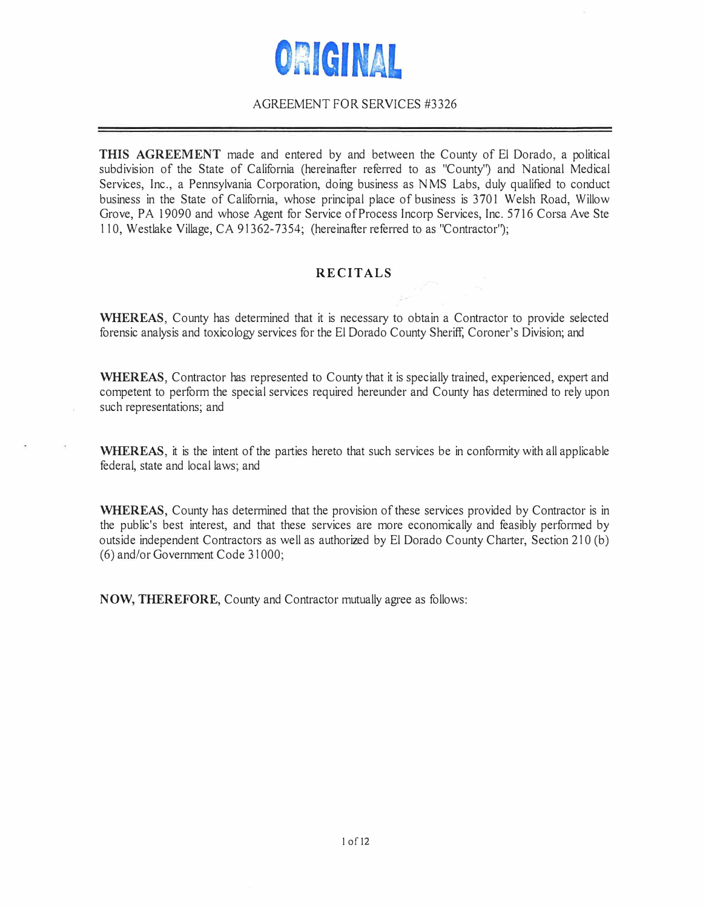# ORIGINAL

## AGREEMENT FOR SERVICES #3326

**THIS AGREEMENT** made and entered by and between the County of El Dorado, a political subdivision of the State of California (hereinafter referred to as "County') and National Medical Services, Inc., a Pennsylvania Corporation, doing business as NMS Labs, duly qualified to conduct business in the State of California, whose principal place of business is 3701 Welsh Road, Willow Grove, PA 19090 and whose Agent for Service of Process Incorp Services, Inc. 5716 Corsa Ave Ste 110, Westlake Village, CA 91362-7354; (hereinafter referred to as "Contractor');

### **RECITALS**

**WHEREAS,** County has determined that it is necessary to obtain a Contractor to provide selected forensic analysis and toxicology services for the El Dorado County Sheriff, Coroner's Division; and

**WHEREAS, Contractor has represented to County that it is specially trained, experienced, expert and** competent to perform the special services required hereunder and County has determined to rely upon such representations; and

WHEREAS, it is the intent of the parties hereto that such services be in conformity with all applicable federal, state and local laws; and

**WHEREAS,** County has determined that the provision of these services provided by Contractor is in the public's best interest, and that these services are more economically and feasibly performed by outside independent Contractors as well as authorized by El Dorado County Charter, Section 210 (b) (6) and/or Government Code 31000;

**NOW, THEREFORE,** County and Contractor mutually agree as follows: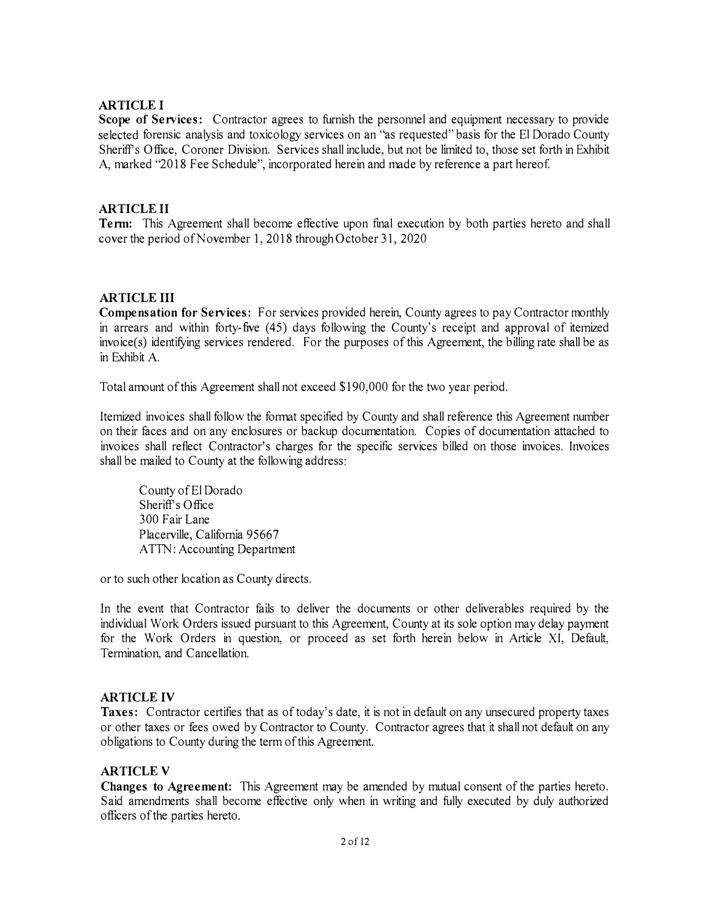## **ARTICLE I**

**Scope of Services:** Contractor agrees to furnish the personnel and equipment necessary to provide selected forensic analysis and toxicology services on an "as requested" basis for the El Dorado County Sheriff's Office, Coroner Division. Services shall include, but not be limited to, those set forth in Exhibit A, marked "2018 Fee Schedule", incorporated herein and made by reference a part hereof

## **ARTICLE II**

**Tenn:** This Agreement shall become effective upon final execution by both parties hereto and shall cover the period of November 1, 2018 through October 31, 2020

### **ARTICLE III**

**Compensation for Services:** For services provided herein, County agrees to pay Contractor monthly in arrears and within forty-five (45) days following the County's receipt and approval of itemized invoice(s) identifying services rendered. For the purposes of this Agreement, the billing rate shall be as in Exhibit A.

Total amount of this Agreement shall not exceed \$190,000 for the two year period.

Itemized invoices shall follow the format specified by County and shall reference this Agreement number on their faces and on any enclosures or backup documentation. Copies of documentation attached to invoices shall reflect Contractor's charges for the specific services billed on those invoices. Invoices shall be mailed to County at the following address:

County of El Dorado Sheriff's Office 300 Fair Lane Placerville, California 95667 ATTN: Accounting Department

or to such other location as County directs.

In the event that Contractor fails to deliver the documents or other deliverables required by the individual Work Orders issued pursuant to this Agreement, County at its sole option may delay payment for the Work Orders in question, or proceed as set forth herein below in Article XI, Default, Termination, and Cancellation.

#### **ARTICLE IV**

**Taxes:** Contractor certifies that as of today's date, it is not in default on any unsecured property taxes or other taxes or fees owed by Contractor to County. Contractor agrees that it shall not default on any obligations to County during the term of this Agreement.

#### **ARTICLE V**

**Changes to Agreement:** This Agreement may be amended by mutual consent of the parties hereto. Said amendments shall become effective only when in writing and fully executed by duly authorized officers of the parties hereto.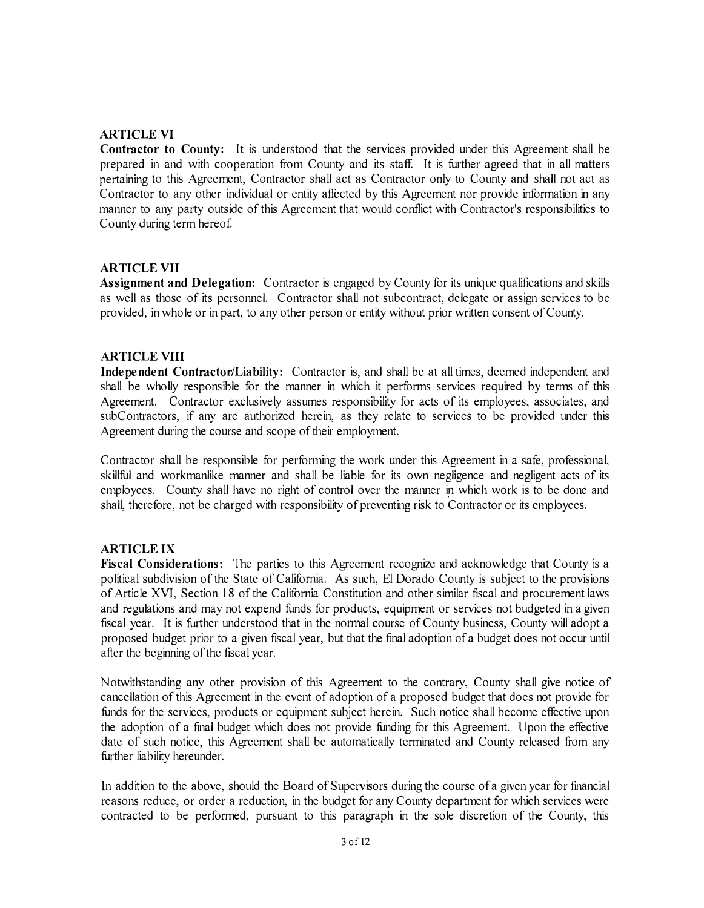## **ARTICLE VI**

**Contractor to County:** It is understood that the services provided under this Agreement shall be prepared in and with cooperation from County and its staff. It is further agreed that in all matters pertaining to this Agreement, Contractor shall act as Contractor only to County and shall not act as Contractor to any other individual or entity affected by this Agreement nor provide information in any manner to any party outside of this Agreement that would conflict with Contractor's responsibilities to County during term hereof

### **ARTICLE VII**

**Assignment and Delegation:** Contractor is engaged by County for its unique qualifications and skills as well as those of its personnel. Contractor shall not subcontract, delegate or assign services to be provided, in whole or in part, to any other person or entity without prior written consent of County.

#### **ARTICLE VIII**

**Independent Contractor/Liability:** Contractor is, and shall be at all times, deemed independent and shall be wholly responsible for the manner in which it performs services required by terms of this Agreement. Contractor exclusively assumes responsibility for acts of its employees, associates, and subContractors, if any are authorized herein, as they relate to services to be provided under this Agreement during the course and scope of their employment.

Contractor shall be responsible for performing the work under this Agreement in a safe, professional, skillful and workmanlike manner and shall be liable for its own negligence and negligent acts of its employees. County shall have no right of control over the manner in which work is to be done and shall, therefore, not be charged with responsibility of preventing risk to Contractor or its employees.

## **ARTICLE IX**

**Fiscal Considerations:** The parties to this Agreement recognize and acknowledge that County is a political subdivision of the State of California. As such, El Dorado County is subject to the provisions of Article XVI, Section 18 of the California Constitution and other similar fiscal and procurement laws and regulations and may not expend funds for products, equipment or services not budgeted in a given fiscal year. It is further understood that in the normal course of County business, County will adopt a proposed budget prior to a given fiscal year, but that the final adoption of a budget does not occur until after the beginning of the fiscal year.

Notwithstanding any other provision of this Agreement to the contrary, County shall give notice of cancellation of this Agreement in the event of adoption of a proposed budget that does not provide for funds for the services, products or equipment subject herein. Such notice shall become effective upon the adoption of a final budget which does not provide funding for this Agreement. Upon the effective date of such notice, this Agreement shall be automatically terminated and County released from any further liability hereunder.

In addition to the above, should the Board of Supervisors during the course of a given year for financial reasons reduce, or order a reduction, in the budget for any County department for which services were contracted to be performed, pursuant to this paragraph in the sole discretion of the County, this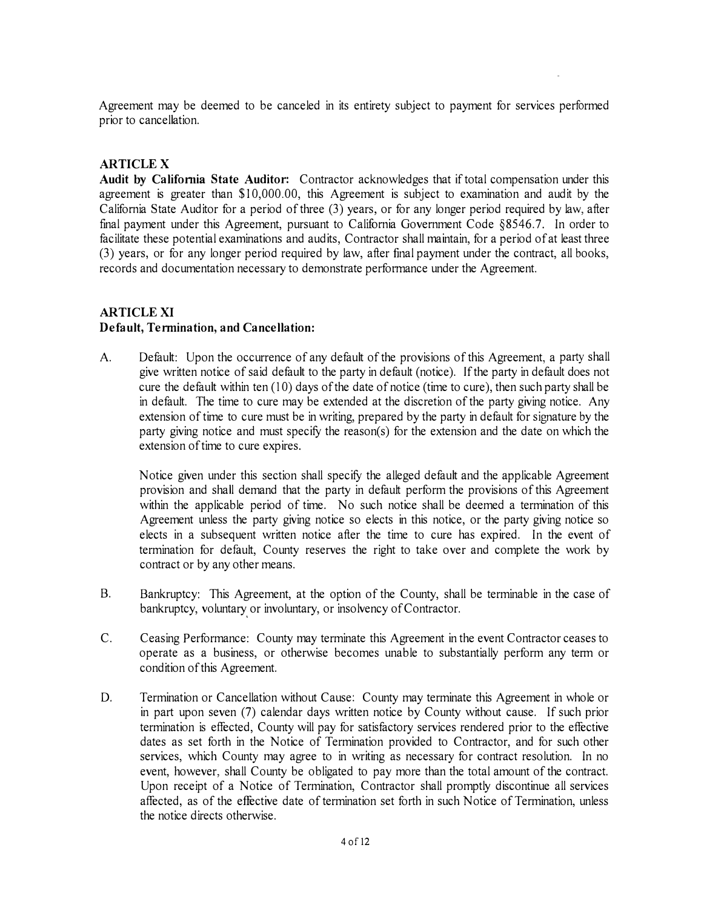Agreement may be deemed to be canceled in its entirety subject to payment for services performed prior to cancellation.

## **ARTICLEX**

**Audit** by **California State Auditor:** Contractor acknowledges that if total compensation under this agreement is greater than \$10,000.00, this Agreement is subject to examination and audit by the California State Auditor for a period of three (3) years, or for any longer period required by law, after final payment under this Agreement, pursuant to California Government Code §8546.7. In order to facilitate these potential examinations and audits, Contractor shall maintain, for a period of at least three (3) years, or for any longer period required by law, after final payment under the contract, all books, records and documentation necessary to demonstrate perfonnance under the Agreement.

## **ARTICLE XI Default, Termination, and Cancellation:**

A. Default: Upon the occurrence of any default of the provisions of this Agreement, a party shall give written notice of said default to the party in default (notice). If the party in default does not cure the default within ten  $(10)$  days of the date of notice (time to cure), then such party shall be in default. The time to cure may be extended at the discretion of the party giving notice. Any extension of time to cure must be in writing, prepared by the party in default for signature by the party giving notice and must specify the reason(s) for the extension and the date on which the extension of time to cure expires.

Notice given under this section shall specify the alleged default and the applicable Agreement provision and shall demand that the party in default perform the provisions of this Agreement within the applicable period of time. No such notice shall be deemed a termination of this Agreement unless the party giving notice so elects in this notice, or the party giving notice so elects in a subsequent written notice after the time to cure has expired. In the event of termination for default, County reserves the right to take over and complete the work by contract or by any other means.

- B. Bankruptcy: This Agreement, at the option of the County, shall be terminable in the case of bankruptcy, voluntary or involuntary, or insolvency of Contractor.
- C. Ceasing Performance: County may terminate this Agreement in the event Contractor ceases to operate as a business, or otherwise becomes unable to substantially perform any term or condition of this Agreement.
- D. Termination or Cancellation without Cause: County may terminate this Agreement in whole or in part upon seven (7) calendar days written notice by County without cause. If such prior termination is effected, County will pay for satisfactory services rendered prior to the effective dates as set forth in the Notice of Termination provided to Contractor, and for such other services, which County may agree to in writing as necessary for contract resolution. In no event, however, shall County be obligated to pay more than the total amount of the contract. Upon receipt of a Notice of Termination, Contractor shall promptly discontinue all services affected, as of the effective date of termination set forth in such Notice of Termination, unless the notice directs otherwise.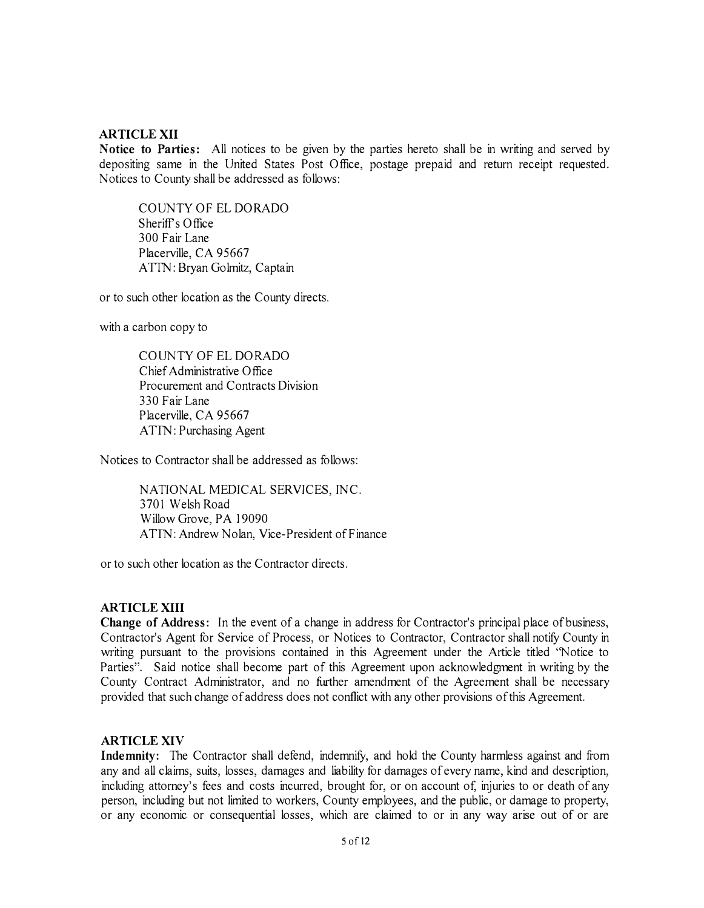#### **ARTICLE XII**

**Notice to Parties:** All notices to be given by the parties hereto shall be in writing and served by depositing same in the United States Post Office, postage prepaid and return receipt requested. Notices to County shall be addressed as follows:

COUNTY OF EL DORADO  $Sheriff's$  Office 300 Fair Lane Placerville, CA 95667 ATTN: Bryan Golmitz, Captain

or to such other location as the County directs.

with a carbon copy to

COUNTY OF EL DORADO Chief Administrative Office Procurement and Contracts Division 330 Fair Lane Placerville, CA 95667 ATTN: Purchasing Agent

Notices to Contractor shall be addressed as follows:

NATIONAL MEDICAL SERVICES, INC. 3701 Welsh Road Willow Grove, PA 19090 ATTN: Andrew Nolan, Vice-President of Finance

or to such other location as the Contractor directs.

#### **AR TI CLE XIII**

**Change of Address:** In the event of a change in address for Contractor's principal place of business, Contractor's Agent for Service of Process, or Notices to Contractor, Contractor shall notify County in writing pursuant to the provisions contained in this Agreement under the Article titled "Notice to Parties". Said notice shall become part of this Agreement upon acknowledgment in writing by the County Contract Administrator, and no further amendment of the Agreement shall be necessary provided that such change of address does not conflict with any other provisions of this Agreement.

#### **ARTICLE XIV**

Indemnity: The Contractor shall defend, indemnify, and hold the County harmless against and from any and all claims, suits, losses, damages and liability for damages of every name, kind and description, including attorney's fees and costs incurred, brought for, or on account of, injuries to or death of any person, including but not limited to workers, County employees, and the public, or damage to property, or any economic or consequential losses, which are claimed to or in any way arise out of or are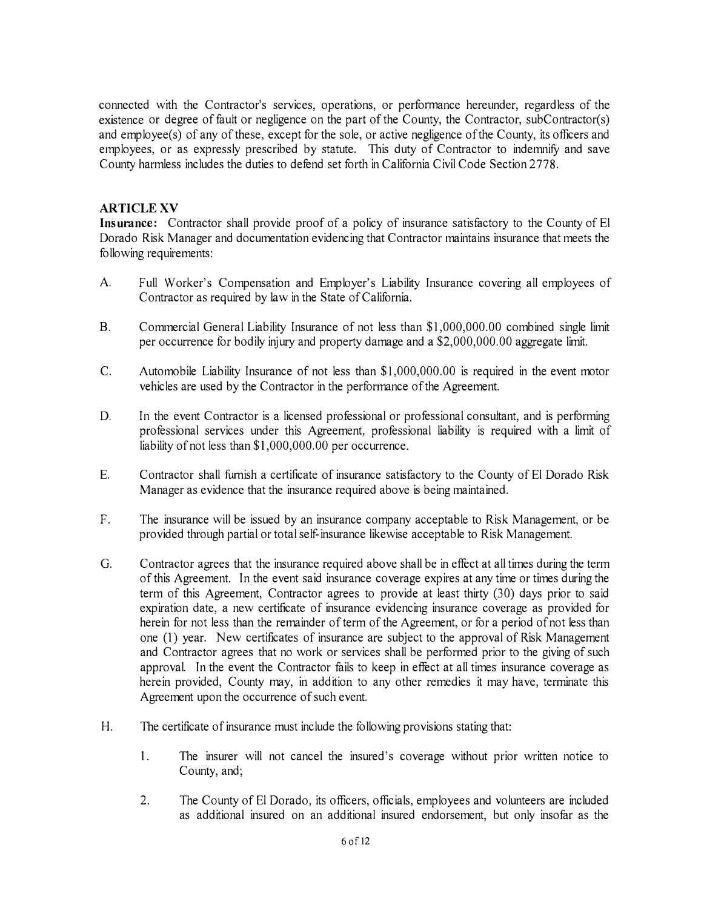connected with the Contractor's services, operations, or perfonnance hereunder, regardless of the existence or degree of fault or negligence on the part of the County, the Contractor, subContractor(s) and employee(s) of any of these, except for the sole, or active negligence of the County, its officers and employees, or as expressly prescribed by statute. This duty of Contractor to indemnify and save County harmless includes the duties to defend set forth in California Civil Code Section 2778.

## **ARTICLE XV**

**Insurance:** Contractor shall provide proof of a policy of insurance satisfactory to the County of El Dorado Risk Manager and documentation evidencing that Contractor maintains insurance that meets the following requirements:

- A. Full Worker's Compensation and Employer's Liability Insurance covering all employees of Contractor as required by law in the State of California.
- B. Commercial General Liability Insurance of not less than \$1,000,000.00 combined single limit per occurrence for bodily injury and property damage and a \$2,000,000.00 aggregate limit.
- C. Automobile Liability Insurance of not less than \$1,000,000.00 is required in the event motor vehicles are used by the Contractor in the performance of the Agreement.
- D. In the event Contractor is a licensed professional or professional consultant, and is performing professional services under this Agreement, professional liability is required with a limit of liability of not less than \$1,000,000.00 per occurrence.
- E. Contractor shall furnish a certificate of insurance satisfactory to the County of El Dorado Risk Manager as evidence that the insurance required above is being maintained.
- F. The insurance will be issued by an insurance company acceptable to Risk Management, or be provided through partial or total self-insurance likewise acceptable to Risk Management.
- G. Contractor agrees that the insurance required above shall be in effect at all times during the term of this Agreement. In the event said insurance coverage expires at any time or times during the term of this Agreement, Contractor agrees to provide at least thirty (30) days prior to said expiration date, a new certificate of insurance evidencing insurance coverage as provided for herein for not less than the remainder of term of the Agreement, or for a period of not less than one (1) year. New certificates of insurance are subject to the approval of Risk Management and Contractor agrees that no work or services shall be performed prior to the giving of such approval. In the event the Contractor fails to keep in effect at all times insurance coverage as herein provided, County may, in addition to any other remedies it may have, terminate this Agreement upon the occurrence of such event.
- H. The certificate of insurance must include the following provisions stating that:
	- 1. The insurer will not cancel the insured's coverage without prior written notice to County, and;
	- 2. The County of El Dorado, its officers, officials, employees and volunteers are included as additional insured on an additional insured endorsement, but only insofar as the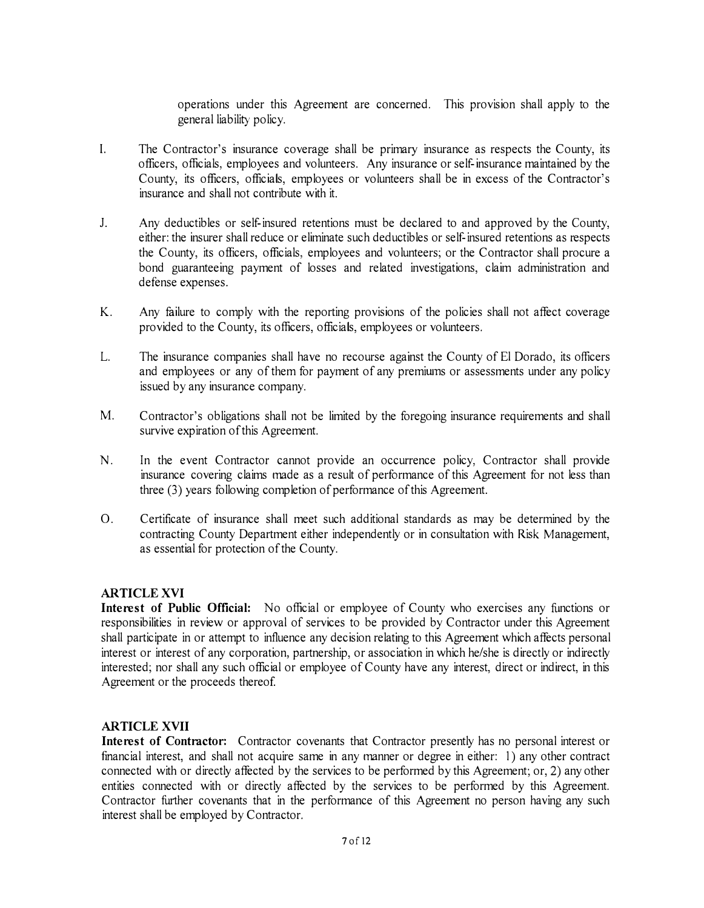operations under this Agreement are concerned. This provision shall apply to the general liability policy.

- I. The Contractor's insurance coverage shall be primary insurance as respects the County, its officers, officials, employees and volunteers. Any insurance or self-insurance maintained by the County, its officers, officials, employees or volunteers shall be in excess of the Contractor's insurance and shall not contribute with it.
- J. Any deductibles or self-insured retentions must be declared to and approved by the County, either: the insurer shall reduce or eliminate such deductibles or self-insured retentions as respects the County, its officers, officials, employees and volunteers; or the Contractor shall procure a bond guaranteeing payment of losses and related investigations, claim administration and defense expenses.
- K. Any failure to comply with the reporting provisions of the policies shall not affect coverage provided to the County, its officers, officials, employees or volunteers.
- L. The insurance companies shall have no recourse against the County of El Dorado, its officers and employees or any of them for payment of any premiwns or assessments under any policy issued by any insurance company.
- M. Contractor's obligations shall not be limited by the foregoing insurance requirements and shall survive expiration of this Agreement.
- N. In the event Contractor cannot provide an occurrence policy, Contractor shall provide insurance covering claims made as a result of performance of this Agreement for not less than three (3) years following completion of performance of this Agreement.
- 0. Certificate of insurance shall meet such additional standards as may be determined by the contracting County Department either independently or in consultation with Risk Management, as essential for protection of the County.

## **ARTICLE XVI**

**Interest of Public Official:** No official or employee of County who exercises any functions or responsibilities in review or approval of services to be provided by Contractor under this Agreement shall participate in or attempt to influence any decision relating to this Agreement which affects personal interest or interest of any corporation, partnership, or association in which he/she is directly or indirectly interested; nor shall any such official or employee of County have any interest, direct or indirect, in this Agreement or the proceeds thereof

#### **ARTICLE XVII**

**Interest of Contractor:** Contractor covenants that Contractor presently has no personal interest or financial interest, and shall not acquire same in any manner or degree in either: 1) any other contract connected with or directly affected by the services to be performed by this Agreement; or, 2) any other entities connected with or directly affected by the services to be performed by this Agreement. Contractor further covenants that in the performance of this Agreement no person having any such interest shall be employed by Contractor.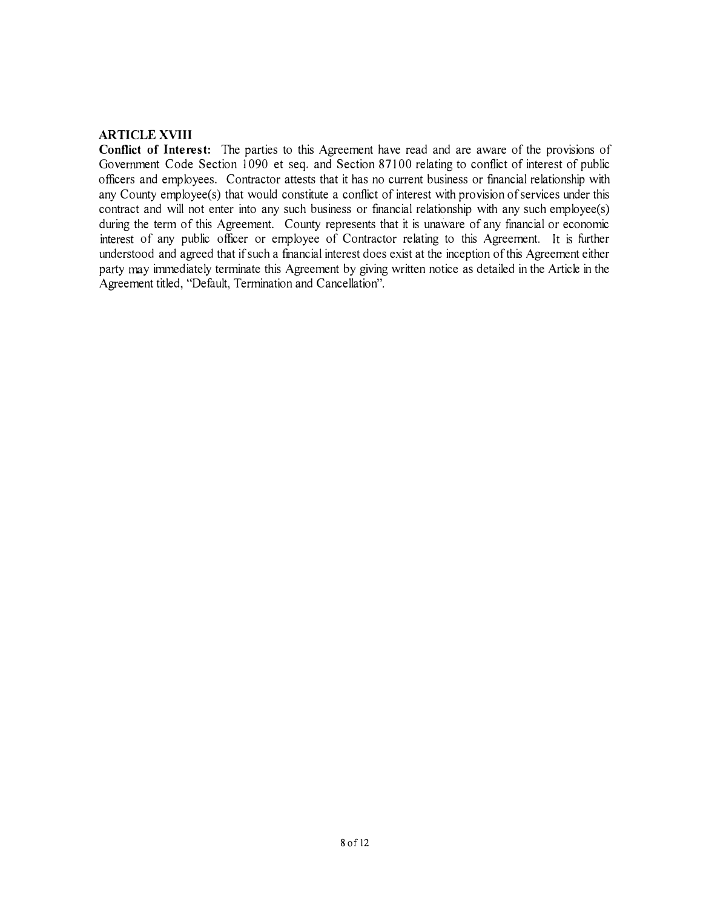## **AR TI CLE XVIII**

**Conflict of Interest:** The parties to this Agreement have read and are aware of the provisions of Government Code Section 1090 et seq. and Section 87100 relating to conflict of interest of public officers and employees. Contractor attests that it has no current business or financial relationship with any County employee(s) that would constitute a conflict of interest with provision of services under this contract and will not enter into any such business or financial relationship with any such employee(s) during the term of this Agreement. County represents that it is unaware of any financial or economic interest of any public officer or employee of Contractor relating to this Agreement. It is further understood and agreed that if such a financial interest does exist at the inception of this Agreement either party may immediately terminate this Agreement by giving written notice as detailed in the Article in the Agreement titled, "Default, Termination and Cancellation".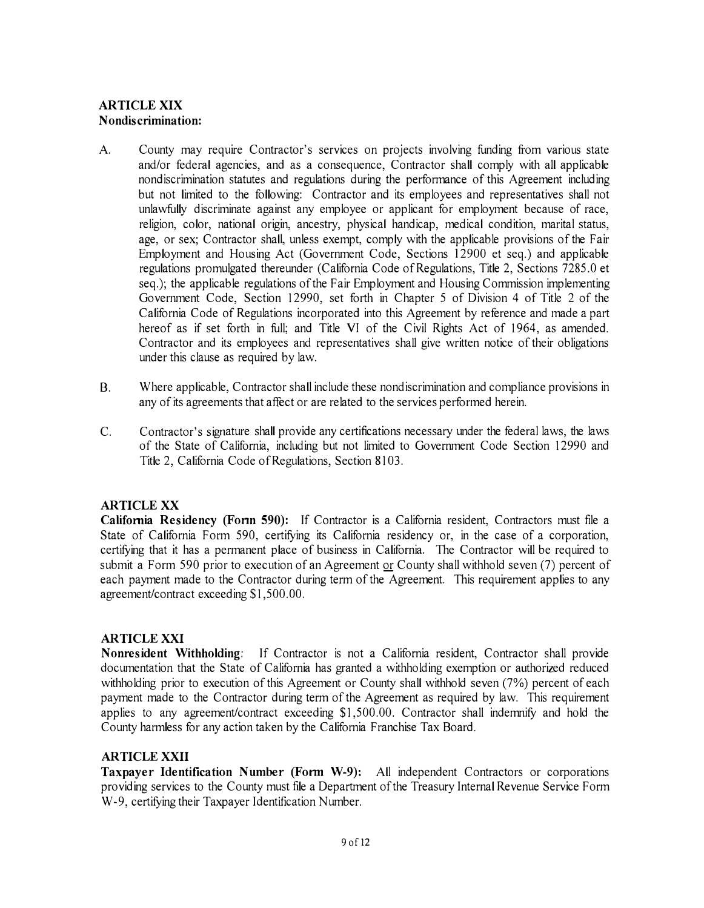## **ARTICLE XIX Nondiscrimination:**

- A. County may require Contractor's services on projects involving funding from various state and/or federal agencies, and as a consequence, Contractor shall comply with all applicable nondiscrimination statutes and regulations during the performance of this Agreement including but not limited to the following: Contractor and its employees and representatives shall not unlawfully discriminate against any employee or applicant for employment because of race, religion, color, national origin, ancestry, physical handicap, medical condition, marital status, age, or sex; Contractor shall, unless exempt, comply with the applicable provisions of the Fair Employment and Housing Act (Government Code, Sections 12900 et seq.) and applicable regulations promulgated thereunder (California Code of Regulations, Title 2, Sections 7285.0 et seq.); the applicable regulations of the Fair Employment and Housing Commission implementing Government Code, Section 12990, set forth in Chapter 5 of Division 4 of Title 2 of the California Code of Regulations incorporated into this Agreement by reference and made a part hereof as if set forth in full; and Title VI of the Civil Rights Act of 1964, as amended. Contractor and its employees and representatives shall give written notice of their obligations under this clause as required by law.
- 8. Where applicable, Contractor shall include these nondiscrimination and compliance provisions in any of its agreements that affect or are related to the services performed herein.
- C. Contractor's signature shall provide any certifications necessary under the federal laws, the laws of the State of California, including but not limited to Government Code Section 12990 and Title 2, California Code of Regulations, Section 8103.

## **ARTICLE XX**

**California Residency (Fonn 590):** If Contractor is a California resident, Contractors must file a State of California Form 590, certifying its California residency or, in the case of a corporation, certifying that it has a permanent place of business in California. The Contractor will be required to submit a Form 590 prior to execution of an Agreement or County shall withhold seven (7) percent of each payment made to the Contractor during term of the Agreement. This requirement applies to any agreement/contract exceeding \$1,500.00.

## **ARTICLEXXI**

**Nonresident Withholding:** If Contractor is not a California resident, Contractor shall provide documentation that the State of California has granted a withholding exemption or authorized reduced withholding prior to execution of this Agreement or County shall withhold seven (7%) percent of each payment made to the Contractor during term of the Agreement as required by law. This requirement applies to any agreement/contract exceeding \$1,500.00. Contractor shall indemnify and hold the County harmless for any action taken by the California Franchise Tax Board.

## **ARTICLE XXII**

**Taxpayer Identification Number (Form W-9):** All independent Contractors or corporations providing services to the County must file a Department of the Treasury Internal Revenue Service Form W-9, certifying their Taxpayer Identification Number.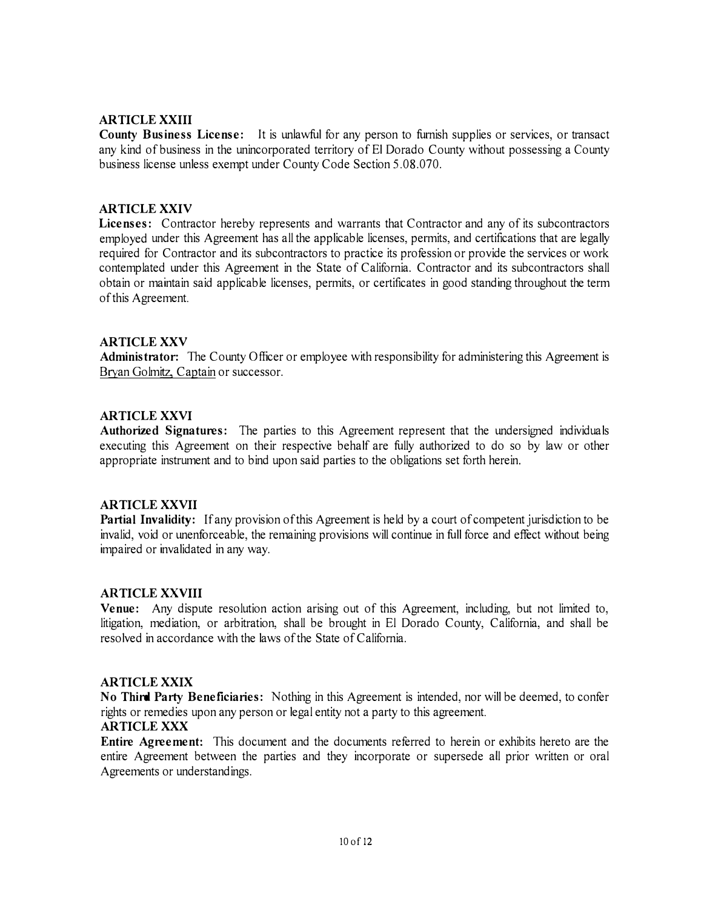#### **ARTICLE XXIII**

**County Business License:** It is unlawful for any person to furnish supplies or services, or transact any kind of business in the unincorporated territory of El Dorado County without possessing a County business license unless exempt under County Code Section 5.08.070.

## **ARTICLE XXIV**

**Licenses:** Contractor hereby represents and warrants that Contractor and any of its subcontractors employed under this Agreement has all the applicable licenses, permits, and certifications that are legally required for Contractor and its subcontractors to practice its profession or provide the services or work contemplated under this Agreement in the State of California. Contractor and its subcontractors shall obtain or maintain said applicable licenses, permits, or certificates in good standing throughout the term of this Agreement.

### **ARTICLE XXV**

Administrator: The County Officer or employee with responsibility for administering this Agreement is Bryan Golmitz, Captain or successor.

## **ARTICLE XXVI**

Authorized Signatures: The parties to this Agreement represent that the undersigned individuals executing this Agreement on their respective behalf are fully authorized to do so by law or other appropriate instrument and to bind upon said parties to the obligations set forth herein.

#### **AR TI CLE XXVII**

**Partial Invalidity:** If any provision of this Agreement is held by a court of competent jurisdiction to be invalid, void or unenforceable, the remaining provisions will continue in full force and effect without being impaired or invalidated in any way.

#### **AR TI CLE XXVIII**

**Venue:** Any dispute resolution action arising out of this Agreement, including, but not limited to, litigation, mediation, or arbitration, shall be brought in El Dorado County, California, and shall be resolved in accordance with the laws of the State of California.

#### **ARTICLE XXIX**

**No Third Party Beneficiaries:** Nothing in this Agreement is intended, nor will be deemed, to confer rights or remedies upon any person or legal entity not a party to this agreement.

#### **ARTICLE XXX**

**Entire Agreement:** This document and the documents referred to herein or exhibits hereto are the entire Agreement between the parties and they incorporate or supersede all prior written or oral Agreements or understandings.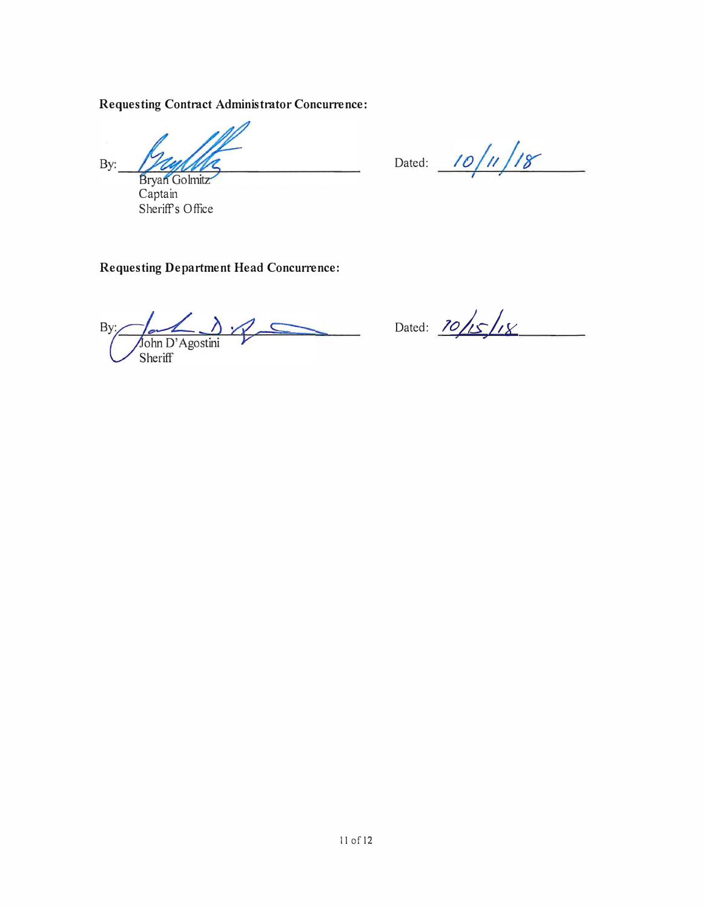# **Requesting Contract Administrator Concurrence:**

 $By:$ Bryan Golmitz

Captain Sheriffs Office

Dated:  $10/11/18$ 

**Requesting Department Head Concurrence:** 

 $\Delta z$  $\frac{1}{\sqrt{\sinh D'z}}$  $By:$  $\overline{C}$ Sheriff

Dated:  $\frac{10}{5}$ /18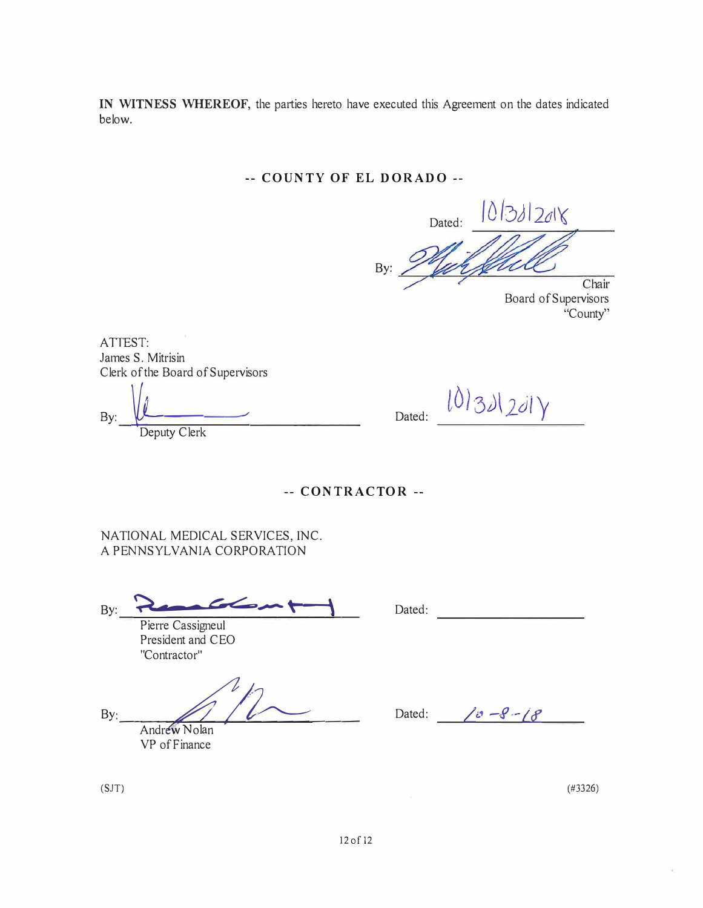**IN WITNESS WHEREOF,** the patties hereto have executed this Agreement on the dates indicated below.

# **-- COUNTY OF EL DORADO --**

Dated:  $10/3120\sqrt{}$ By: Chair

Board of Supervisors "County"

ATTEST: James S. Mitrisin Clerk of the Board of Supervisors

 $By: \underline{\hspace{1cm}} \underline{\hspace{1cm}} \underline{\hspace{1cm}}$ Deputy Clerk

 $101321201y$ Dated:

**-- CONTRACTOR --**

NATIONAL MEDICAL SERVICES, INC. A PENNSYLVANIA CORPORATION

By: --------------=-- �---�\ �\

Pierre Cassigneul President and CEO "Contractor"

 $\n By: *Andrew Nolan*\n\n  $\n\overline{\phantom{AB}^{\text{A}}\phantom{A}^{\text{B}}}$$ ndrew Nola \_ -  $\frac{1}{n}$ 

VP of Finance

Dated: We have a series of the series of the series of the series of the series of the series of the series of the series of the series of the series of the series of the series of the series of the series of the series of

Dated:  $\int v - S - \int S$ 

(SJT)

(#3326)